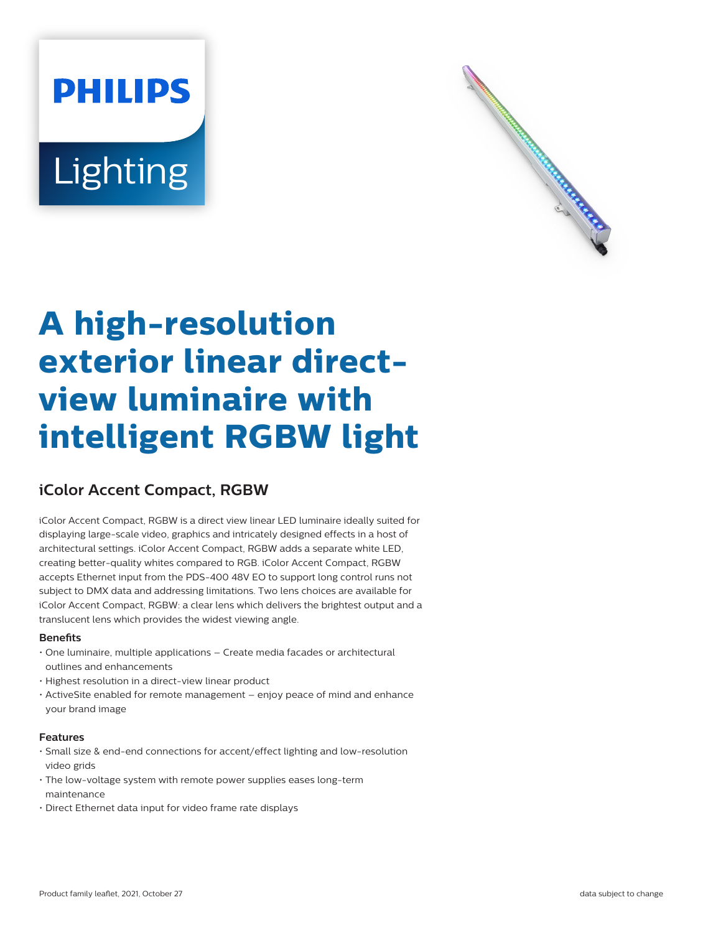# **PHILIPS** Lighting



# **A high-resolution exterior linear directview luminaire with intelligent RGBW light**

## **iColor Accent Compact, RGBW**

iColor Accent Compact, RGBW is a direct view linear LED luminaire ideally suited for displaying large-scale video, graphics and intricately designed effects in a host of architectural settings. iColor Accent Compact, RGBW adds a separate white LED, creating better-quality whites compared to RGB. iColor Accent Compact, RGBW accepts Ethernet input from the PDS-400 48V EO to support long control runs not subject to DMX data and addressing limitations. Two lens choices are available for iColor Accent Compact, RGBW: a clear lens which delivers the brightest output and a translucent lens which provides the widest viewing angle.

#### **Benets**

- One luminaire, multiple applications Create media facades or architectural outlines and enhancements
- Highest resolution in a direct-view linear product
- ActiveSite enabled for remote management enjoy peace of mind and enhance your brand image

#### **Features**

- Small size & end-end connections for accent/effect lighting and low-resolution video grids
- The low-voltage system with remote power supplies eases long-term maintenance
- Direct Ethernet data input for video frame rate displays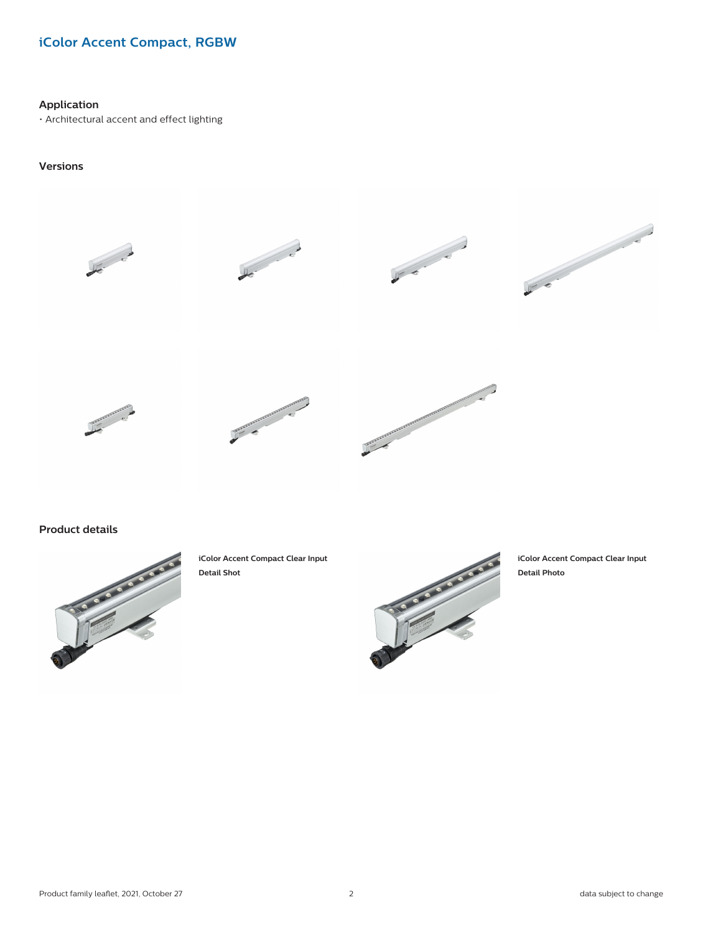### **iColor Accent Compact, RGBW**

#### **Application**

• Architectural accent and effect lighting

#### **Versions**



**Product details**



**iColor Accent Compact Clear Input Detail Shot**



**iColor Accent Compact Clear Input Detail Photo**